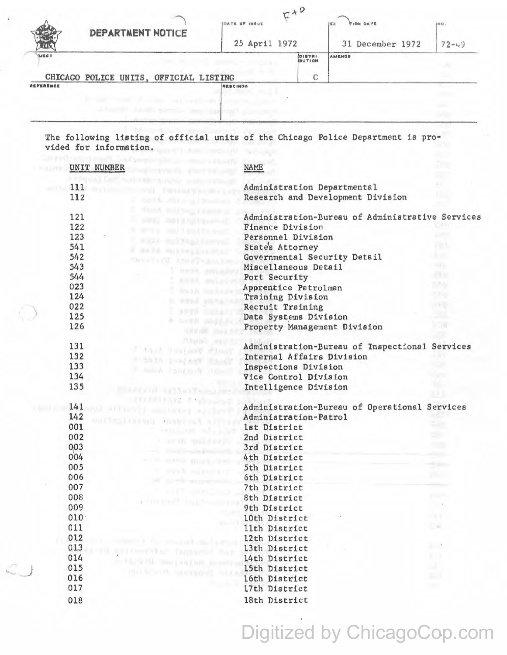|              | DEPARTMENT NOTICE                                                    | $F+P$<br>DATE OF INSUE<br>25 April 1972 |                   | <b>TION DATE</b><br>$ 00\rangle$<br>31 December 1972 | 198 Q .<br>$72 - 49$ |
|--------------|----------------------------------------------------------------------|-----------------------------------------|-------------------|------------------------------------------------------|----------------------|
| <b>IMECT</b> |                                                                      |                                         | DISTRI-<br>BUTION | AMENDS                                               |                      |
| REFERENCE    | CHICAGO POLICE UNITS, OFFICIAL LISTING<br>I haven't determine them a | <b>RESCINDS</b>                         |                   |                                                      |                      |

The following listing of official units of the Chicago Police Department is provided for information.

| UNIT NUMBER |                                                | <b>NAME</b>                                      |                          |
|-------------|------------------------------------------------|--------------------------------------------------|--------------------------|
| 111         |                                                | Administration Departmental                      |                          |
| 112         |                                                | Research and Development Division                |                          |
| 121         | <b>FRAUD III</b> III ANGELE TILA SERIE AT      | Administration-Bureau of Administrative Services |                          |
| 122         |                                                | Finance Division                                 |                          |
| 123         | <b>ENYA ROLYSALES</b>                          | Personnel Division                               |                          |
| 541         | H+TA HOTHALIZAR                                | State's Attorney                                 | аh                       |
| 542         | <b><i>TASHET LICE</i></b><br><b>JID STAR</b>   | Governmental Security Detail                     | k an                     |
| 543         |                                                | Miscellaneous Detail                             |                          |
| 544         |                                                | Port Security                                    | 23.16                    |
| 023         |                                                | Apprentice Patrolman                             | 15,753                   |
| 124         | <b>DWYA</b>                                    | Training Division                                | <b>3.7%</b>              |
| 022         | <b>REVA</b>                                    | Recruit Training                                 | 38800                    |
| 125         | 3395                                           | Data Systems Division                            |                          |
| 126         | o.<br><b>North Strings</b><br><b>TIP RIVER</b> | Property Management Division                     | $\mathcal{N}$            |
| 131         | <b>PUSHING</b><br><b>MARK TANDARY</b>          | Administration-Bureau of Inspectional Services   |                          |
| 132         | 5925 3ml/ast                                   | Internal Affairs Division                        |                          |
| 133         | <b>FramA Faction</b>                           | Inspections Division                             |                          |
| 134         |                                                | Vice Control Division                            |                          |
| 135         | <b>ESTATE RELEASTER</b>                        | Intelligence Division                            |                          |
|             | astare and                                     |                                                  |                          |
| 141         | <b>Depth Street Way of Street Lands</b>        | Administration-Bureau of Operational Services    |                          |
| 142         | moleculy in viti                               | Administration-Patrol                            |                          |
| 001         | $\epsilon$ and $\epsilon$                      | 1st District                                     |                          |
| 002         |                                                | 2nd District                                     | 90                       |
| 003         |                                                | 3rd District                                     |                          |
| 004         |                                                | 4th District                                     |                          |
| 005         |                                                | 5th District                                     |                          |
| 006         |                                                | 6th District                                     |                          |
| 007         |                                                | 7th District                                     |                          |
| 008         |                                                | 8th District                                     | n eo                     |
| 009         | <b>COLLEGE THE TIME</b>                        | 9th District                                     |                          |
| 010.        |                                                | 10th District                                    |                          |
| 011         |                                                |                                                  | $- w$                    |
|             |                                                | llth District                                    |                          |
| 012         | companies in the summated lines Lasts          | 12th District                                    | $\mathcal{L}_{\rm{max}}$ |
| 013         | and automotive factories and                   | 13th District                                    |                          |
| 014         | THE FILE RANGE SHOW ( FACE LIFE AND COLLECTED  | 14th District                                    | S.                       |
| 015         | in Bennett, internetted in                     | 15th District                                    | <b>ALL</b>               |
| 016         |                                                | 16th District                                    |                          |
| 017         |                                                | 17th District                                    |                          |
| 018         |                                                | 18th District                                    |                          |

Digitized by ChicagoCop.com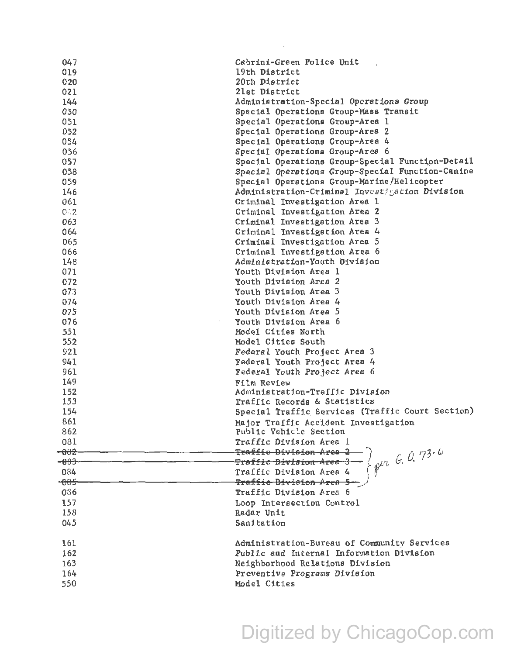| 047    | Cabrini-Green Police Unit                                                               |  |
|--------|-----------------------------------------------------------------------------------------|--|
| 019    | 19th District                                                                           |  |
| 020    | 20th District                                                                           |  |
| 021    | 21st District                                                                           |  |
| 144    | Administration-Special Operations Group                                                 |  |
| 050    | Special Operations Group-Mass Transit                                                   |  |
| 051    | Special Operations Group-Area 1                                                         |  |
| 052    | Special Operations Group-Area 2                                                         |  |
| 054    | Special Operations Group-Area 4                                                         |  |
| 056    | Special Operations Group-Area 6                                                         |  |
|        |                                                                                         |  |
| 057    | Special Operations Group-Special Function-Detail                                        |  |
| 058    | Special Operations Group-Special Function-Canine                                        |  |
| 059    | Special Operations Group-Marine/Helicopter                                              |  |
| 146    | Administration-Criminal Investigation Division                                          |  |
| 061    | Criminal Investigation Area 1                                                           |  |
| 0.52   | Criminal Investigation Area 2                                                           |  |
| 063    | Criminal Investigation Area 3                                                           |  |
| 064    | Criminal Investigation Area 4                                                           |  |
| 065    | Criminal Investigation Area 5                                                           |  |
| 066    | Criminal Investigation Area 6                                                           |  |
| 148    | Administration-Youth Division                                                           |  |
| 071    | Youth Division Area 1                                                                   |  |
| 072    | Youth Division Area 2                                                                   |  |
| 073    | Youth Division Area 3                                                                   |  |
| 074    | Youth Division Area 4                                                                   |  |
| 075    | Youth Division Area 5                                                                   |  |
| 076    | Youth Division Area 6                                                                   |  |
| 551    | Model Cities North                                                                      |  |
| 552    | Model Cities South                                                                      |  |
| 921    | Federal Youth Project Area 3                                                            |  |
| 941    | Federal Youth Project Area 4                                                            |  |
|        |                                                                                         |  |
| 961    | Federal Youth Project Area 6                                                            |  |
| 149    | Film Review                                                                             |  |
| 152    | Administration-Traffic Division                                                         |  |
| 153    | Traffic Records & Statistics                                                            |  |
| 154    | Special Traffic Services (Traffic Court Section)                                        |  |
| 861    | Major Traffic Accident Investigation                                                    |  |
| 862    | Public Vehicle Section                                                                  |  |
| 031    | Traffic Division Area 1                                                                 |  |
| $-002$ | Traffic Division Area 2                                                                 |  |
| $-003$ | 58.0.73.6<br><del>Traffic Division Area 3</del>                                         |  |
| 084    | Traffic Division Area 4                                                                 |  |
| $-005$ | <del>Traffic Division Area 5</del>                                                      |  |
| 036    | Traffic Division Area 6                                                                 |  |
| 157    | Loop Intersection Control                                                               |  |
| 158    | Radar Unit                                                                              |  |
| 045    | Sanitation                                                                              |  |
| 161    |                                                                                         |  |
|        | Administration-Bureau of Community Services<br>Public and Internal Information Division |  |
| 162    |                                                                                         |  |
| 163    | Neighborhood Relations Division                                                         |  |
| 164    | Preventive Programs Division                                                            |  |
| 550    | Model Cities                                                                            |  |

## Digitized by ChicagoCop.com